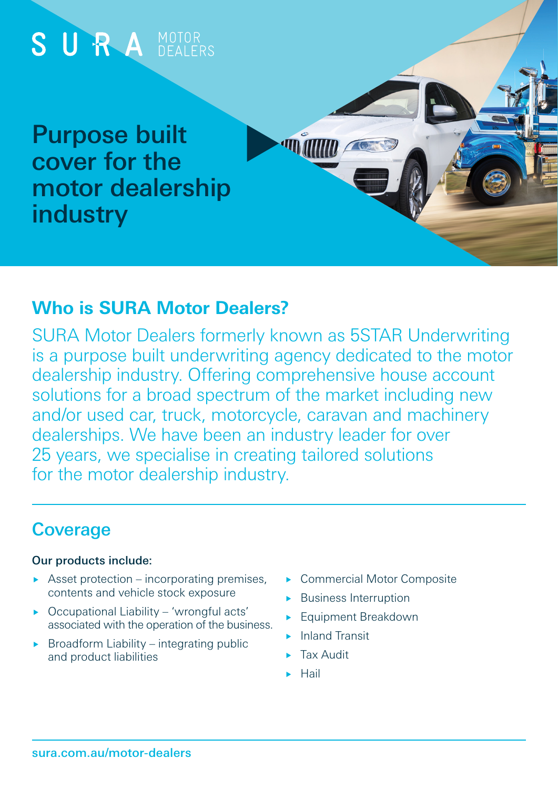

### **Who is SURA Motor Dealers?**

SURA Motor Dealers formerly known as 5STAR Underwriting is a purpose built underwriting agency dedicated to the motor dealership industry. Offering comprehensive house account solutions for a broad spectrum of the market including new and/or used car, truck, motorcycle, caravan and machinery dealerships. We have been an industry leader for over 25 years, we specialise in creating tailored solutions for the motor dealership industry.

## **Coverage**

#### Our products include:

- Asset protection incorporating premises, contents and vehicle stock exposure
- ▶ Occupational Liability 'wrongful acts' associated with the operation of the business.
- $\triangleright$  Broadform Liability integrating public and product liabilities
- ▶ Commercial Motor Composite
- **Business Interruption**
- Equipment Breakdown
- Inland Transit
- Tax Audit
- Hail